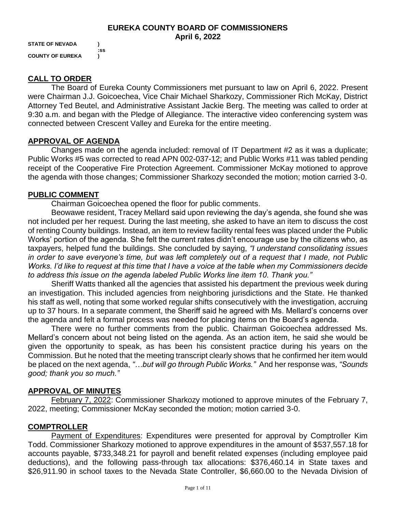#### **EUREKA COUNTY BOARD OF COMMISSIONERS April 6, 2022**

**STATE OF NEVADA ) COUNTY OF EUREKA )**

**:ss**

## **CALL TO ORDER**

The Board of Eureka County Commissioners met pursuant to law on April 6, 2022. Present were Chairman J.J. Goicoechea, Vice Chair Michael Sharkozy, Commissioner Rich McKay, District Attorney Ted Beutel, and Administrative Assistant Jackie Berg. The meeting was called to order at 9:30 a.m. and began with the Pledge of Allegiance. The interactive video conferencing system was connected between Crescent Valley and Eureka for the entire meeting.

## **APPROVAL OF AGENDA**

Changes made on the agenda included: removal of IT Department #2 as it was a duplicate; Public Works #5 was corrected to read APN 002-037-12; and Public Works #11 was tabled pending receipt of the Cooperative Fire Protection Agreement. Commissioner McKay motioned to approve the agenda with those changes; Commissioner Sharkozy seconded the motion; motion carried 3-0.

## **PUBLIC COMMENT**

Chairman Goicoechea opened the floor for public comments.

Beowawe resident, Tracey Mellard said upon reviewing the day's agenda, she found she was not included per her request. During the last meeting, she asked to have an item to discuss the cost of renting County buildings. Instead, an item to review facility rental fees was placed under the Public Works' portion of the agenda. She felt the current rates didn't encourage use by the citizens who, as taxpayers, helped fund the buildings. She concluded by saying, *"I understand consolidating issues in order to save everyone's time, but was left completely out of a request that I made, not Public Works. I'd like to request at this time that I have a voice at the table when my Commissioners decide to address this issue on the agenda labeled Public Works line item 10. Thank you."* 

Sheriff Watts thanked all the agencies that assisted his department the previous week during an investigation. This included agencies from neighboring jurisdictions and the State. He thanked his staff as well, noting that some worked regular shifts consecutively with the investigation, accruing up to 37 hours. In a separate comment, the Sheriff said he agreed with Ms. Mellard's concerns over the agenda and felt a formal process was needed for placing items on the Board's agenda.

There were no further comments from the public. Chairman Goicoechea addressed Ms. Mellard's concern about not being listed on the agenda. As an action item, he said she would be given the opportunity to speak, as has been his consistent practice during his years on the Commission. But he noted that the meeting transcript clearly shows that he confirmed her item would be placed on the next agenda, *"…but will go through Public Works."* And her response was, *"Sounds good; thank you so much."* 

# **APPROVAL OF MINUTES**

February 7, 2022: Commissioner Sharkozy motioned to approve minutes of the February 7, 2022, meeting; Commissioner McKay seconded the motion; motion carried 3-0.

# **COMPTROLLER**

Payment of Expenditures: Expenditures were presented for approval by Comptroller Kim Todd. Commissioner Sharkozy motioned to approve expenditures in the amount of \$537,557.18 for accounts payable, \$733,348.21 for payroll and benefit related expenses (including employee paid deductions), and the following pass-through tax allocations: \$376,460.14 in State taxes and \$26,911.90 in school taxes to the Nevada State Controller, \$6,660.00 to the Nevada Division of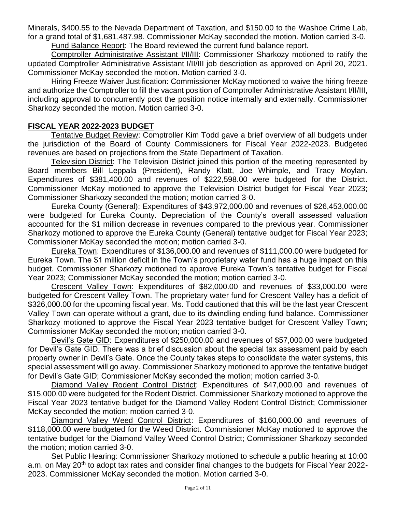Minerals, \$400.55 to the Nevada Department of Taxation, and \$150.00 to the Washoe Crime Lab, for a grand total of \$1,681,487.98. Commissioner McKay seconded the motion. Motion carried 3-0.

Fund Balance Report: The Board reviewed the current fund balance report.

Comptroller Administrative Assistant I/II/III: Commissioner Sharkozy motioned to ratify the updated Comptroller Administrative Assistant I/II/III job description as approved on April 20, 2021. Commissioner McKay seconded the motion. Motion carried 3-0.

Hiring Freeze Waiver Justification: Commissioner McKay motioned to waive the hiring freeze and authorize the Comptroller to fill the vacant position of Comptroller Administrative Assistant I/II/III, including approval to concurrently post the position notice internally and externally. Commissioner Sharkozy seconded the motion. Motion carried 3-0.

## **FISCAL YEAR 2022-2023 BUDGET**

Tentative Budget Review: Comptroller Kim Todd gave a brief overview of all budgets under the jurisdiction of the Board of County Commissioners for Fiscal Year 2022-2023. Budgeted revenues are based on projections from the State Department of Taxation.

Television District: The Television District joined this portion of the meeting represented by Board members Bill Leppala (President), Randy Klatt, Joe Whimple, and Tracy Moylan. Expenditures of \$381,400.00 and revenues of \$222,598.00 were budgeted for the District. Commissioner McKay motioned to approve the Television District budget for Fiscal Year 2023; Commissioner Sharkozy seconded the motion; motion carried 3-0.

Eureka County (General): Expenditures of \$43,972,000.00 and revenues of \$26,453,000.00 were budgeted for Eureka County. Depreciation of the County's overall assessed valuation accounted for the \$1 million decrease in revenues compared to the previous year. Commissioner Sharkozy motioned to approve the Eureka County (General) tentative budget for Fiscal Year 2023; Commissioner McKay seconded the motion; motion carried 3-0.

Eureka Town: Expenditures of \$136,000.00 and revenues of \$111,000.00 were budgeted for Eureka Town. The \$1 million deficit in the Town's proprietary water fund has a huge impact on this budget. Commissioner Sharkozy motioned to approve Eureka Town's tentative budget for Fiscal Year 2023; Commissioner McKay seconded the motion; motion carried 3-0.

Crescent Valley Town: Expenditures of \$82,000.00 and revenues of \$33,000.00 were budgeted for Crescent Valley Town. The proprietary water fund for Crescent Valley has a deficit of \$326,000.00 for the upcoming fiscal year. Ms. Todd cautioned that this will be the last year Crescent Valley Town can operate without a grant, due to its dwindling ending fund balance. Commissioner Sharkozy motioned to approve the Fiscal Year 2023 tentative budget for Crescent Valley Town; Commissioner McKay seconded the motion; motion carried 3-0.

Devil's Gate GID: Expenditures of \$250,000.00 and revenues of \$57,000.00 were budgeted for Devil's Gate GID. There was a brief discussion about the special tax assessment paid by each property owner in Devil's Gate. Once the County takes steps to consolidate the water systems, this special assessment will go away. Commissioner Sharkozy motioned to approve the tentative budget for Devil's Gate GID; Commissioner McKay seconded the motion; motion carried 3-0.

Diamond Valley Rodent Control District: Expenditures of \$47,000.00 and revenues of \$15,000.00 were budgeted for the Rodent District. Commissioner Sharkozy motioned to approve the Fiscal Year 2023 tentative budget for the Diamond Valley Rodent Control District; Commissioner McKay seconded the motion; motion carried 3-0.

Diamond Valley Weed Control District: Expenditures of \$160,000.00 and revenues of \$118,000.00 were budgeted for the Weed District. Commissioner McKay motioned to approve the tentative budget for the Diamond Valley Weed Control District; Commissioner Sharkozy seconded the motion; motion carried 3-0.

Set Public Hearing: Commissioner Sharkozy motioned to schedule a public hearing at 10:00 a.m. on May 20<sup>th</sup> to adopt tax rates and consider final changes to the budgets for Fiscal Year 2022-2023. Commissioner McKay seconded the motion. Motion carried 3-0.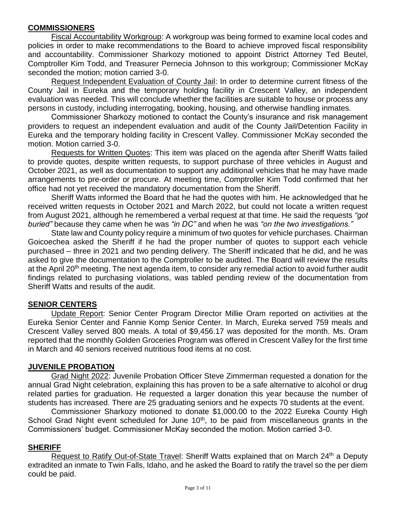## **COMMISSIONERS**

Fiscal Accountability Workgroup: A workgroup was being formed to examine local codes and policies in order to make recommendations to the Board to achieve improved fiscal responsibility and accountability. Commissioner Sharkozy motioned to appoint District Attorney Ted Beutel, Comptroller Kim Todd, and Treasurer Pernecia Johnson to this workgroup; Commissioner McKay seconded the motion; motion carried 3-0.

Request Independent Evaluation of County Jail: In order to determine current fitness of the County Jail in Eureka and the temporary holding facility in Crescent Valley, an independent evaluation was needed. This will conclude whether the facilities are suitable to house or process any persons in custody, including interrogating, booking, housing, and otherwise handling inmates.

Commissioner Sharkozy motioned to contact the County's insurance and risk management providers to request an independent evaluation and audit of the County Jail/Detention Facility in Eureka and the temporary holding facility in Crescent Valley. Commissioner McKay seconded the motion. Motion carried 3-0.

Requests for Written Quotes: This item was placed on the agenda after Sheriff Watts failed to provide quotes, despite written requests, to support purchase of three vehicles in August and October 2021, as well as documentation to support any additional vehicles that he may have made arrangements to pre-order or procure. At meeting time, Comptroller Kim Todd confirmed that her office had not yet received the mandatory documentation from the Sheriff.

Sheriff Watts informed the Board that he had the quotes with him. He acknowledged that he received written requests in October 2021 and March 2022, but could not locate a written request from August 2021, although he remembered a verbal request at that time. He said the requests *"got buried"* because they came when he was *"in DC"* and when he was *"on the two investigations."* 

State law and County policy require a minimum of two quotes for vehicle purchases. Chairman Goicoechea asked the Sheriff if he had the proper number of quotes to support each vehicle purchased – three in 2021 and two pending delivery. The Sheriff indicated that he did, and he was asked to give the documentation to the Comptroller to be audited. The Board will review the results at the April 20<sup>th</sup> meeting. The next agenda item, to consider any remedial action to avoid further audit findings related to purchasing violations, was tabled pending review of the documentation from Sheriff Watts and results of the audit.

### **SENIOR CENTERS**

Update Report: Senior Center Program Director Millie Oram reported on activities at the Eureka Senior Center and Fannie Komp Senior Center. In March, Eureka served 759 meals and Crescent Valley served 800 meals. A total of \$9,456.17 was deposited for the month. Ms. Oram reported that the monthly Golden Groceries Program was offered in Crescent Valley for the first time in March and 40 seniors received nutritious food items at no cost.

### **JUVENILE PROBATION**

Grad Night 2022: Juvenile Probation Officer Steve Zimmerman requested a donation for the annual Grad Night celebration, explaining this has proven to be a safe alternative to alcohol or drug related parties for graduation. He requested a larger donation this year because the number of students has increased. There are 25 graduating seniors and he expects 70 students at the event.

Commissioner Sharkozy motioned to donate \$1,000.00 to the 2022 Eureka County High School Grad Night event scheduled for June  $10<sup>th</sup>$ , to be paid from miscellaneous grants in the Commissioners' budget. Commissioner McKay seconded the motion. Motion carried 3-0.

### **SHERIFF**

Request to Ratify Out-of-State Travel: Sheriff Watts explained that on March 24<sup>th</sup> a Deputy extradited an inmate to Twin Falls, Idaho, and he asked the Board to ratify the travel so the per diem could be paid.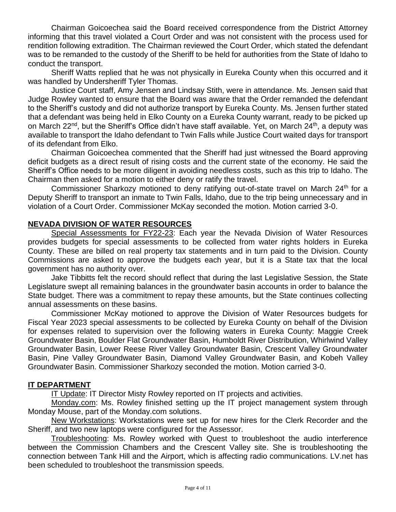Chairman Goicoechea said the Board received correspondence from the District Attorney informing that this travel violated a Court Order and was not consistent with the process used for rendition following extradition. The Chairman reviewed the Court Order, which stated the defendant was to be remanded to the custody of the Sheriff to be held for authorities from the State of Idaho to conduct the transport.

Sheriff Watts replied that he was not physically in Eureka County when this occurred and it was handled by Undersheriff Tyler Thomas.

Justice Court staff, Amy Jensen and Lindsay Stith, were in attendance. Ms. Jensen said that Judge Rowley wanted to ensure that the Board was aware that the Order remanded the defendant to the Sheriff's custody and did not authorize transport by Eureka County. Ms. Jensen further stated that a defendant was being held in Elko County on a Eureka County warrant, ready to be picked up on March 22<sup>nd</sup>, but the Sheriff's Office didn't have staff available. Yet, on March 24<sup>th</sup>, a deputy was available to transport the Idaho defendant to Twin Falls while Justice Court waited days for transport of its defendant from Elko.

Chairman Goicoechea commented that the Sheriff had just witnessed the Board approving deficit budgets as a direct result of rising costs and the current state of the economy. He said the Sheriff's Office needs to be more diligent in avoiding needless costs, such as this trip to Idaho. The Chairman then asked for a motion to either deny or ratify the travel.

Commissioner Sharkozy motioned to deny ratifying out-of-state travel on March 24<sup>th</sup> for a Deputy Sheriff to transport an inmate to Twin Falls, Idaho, due to the trip being unnecessary and in violation of a Court Order. Commissioner McKay seconded the motion. Motion carried 3-0.

### **NEVADA DIVISION OF WATER RESOURCES**

Special Assessments for FY22-23: Each year the Nevada Division of Water Resources provides budgets for special assessments to be collected from water rights holders in Eureka County. These are billed on real property tax statements and in turn paid to the Division. County Commissions are asked to approve the budgets each year, but it is a State tax that the local government has no authority over.

Jake Tibbitts felt the record should reflect that during the last Legislative Session, the State Legislature swept all remaining balances in the groundwater basin accounts in order to balance the State budget. There was a commitment to repay these amounts, but the State continues collecting annual assessments on these basins.

Commissioner McKay motioned to approve the Division of Water Resources budgets for Fiscal Year 2023 special assessments to be collected by Eureka County on behalf of the Division for expenses related to supervision over the following waters in Eureka County: Maggie Creek Groundwater Basin, Boulder Flat Groundwater Basin, Humboldt River Distribution, Whirlwind Valley Groundwater Basin, Lower Reese River Valley Groundwater Basin, Crescent Valley Groundwater Basin, Pine Valley Groundwater Basin, Diamond Valley Groundwater Basin, and Kobeh Valley Groundwater Basin. Commissioner Sharkozy seconded the motion. Motion carried 3-0.

### **IT DEPARTMENT**

IT Update: IT Director Misty Rowley reported on IT projects and activities.

Monday.com: Ms. Rowley finished setting up the IT project management system through Monday Mouse, part of the Monday.com solutions.

New Workstations: Workstations were set up for new hires for the Clerk Recorder and the Sheriff, and two new laptops were configured for the Assessor.

Troubleshooting: Ms. Rowley worked with Quest to troubleshoot the audio interference between the Commission Chambers and the Crescent Valley site. She is troubleshooting the connection between Tank Hill and the Airport, which is affecting radio communications. LV.net has been scheduled to troubleshoot the transmission speeds.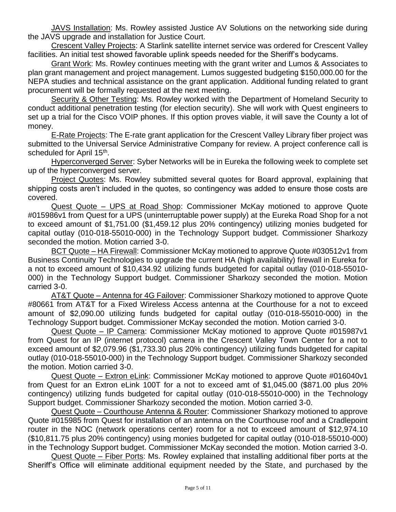JAVS Installation: Ms. Rowley assisted Justice AV Solutions on the networking side during the JAVS upgrade and installation for Justice Court.

Crescent Valley Projects: A Starlink satellite internet service was ordered for Crescent Valley facilities. An initial test showed favorable uplink speeds needed for the Sheriff's bodycams.

Grant Work: Ms. Rowley continues meeting with the grant writer and Lumos & Associates to plan grant management and project management. Lumos suggested budgeting \$150,000.00 for the NEPA studies and technical assistance on the grant application. Additional funding related to grant procurement will be formally requested at the next meeting.

Security & Other Testing: Ms. Rowley worked with the Department of Homeland Security to conduct additional penetration testing (for election security). She will work with Quest engineers to set up a trial for the Cisco VOIP phones. If this option proves viable, it will save the County a lot of money.

**E-Rate Projects: The E-rate grant application for the Crescent Valley Library fiber project was** submitted to the Universal Service Administrative Company for review. A project conference call is scheduled for April 15<sup>th</sup>.

Hyperconverged Server: Syber Networks will be in Eureka the following week to complete set up of the hyperconverged server.

Project Quotes: Ms. Rowley submitted several quotes for Board approval, explaining that shipping costs aren't included in the quotes, so contingency was added to ensure those costs are covered.

Quest Quote – UPS at Road Shop: Commissioner McKay motioned to approve Quote #015986v1 from Quest for a UPS (uninterruptable power supply) at the Eureka Road Shop for a not to exceed amount of \$1,751.00 (\$1,459.12 plus 20% contingency) utilizing monies budgeted for capital outlay (010-018-55010-000) in the Technology Support budget. Commissioner Sharkozy seconded the motion. Motion carried 3-0.

BCT Quote – HA Firewall: Commissioner McKay motioned to approve Quote #030512v1 from Business Continuity Technologies to upgrade the current HA (high availability) firewall in Eureka for a not to exceed amount of \$10,434.92 utilizing funds budgeted for capital outlay (010-018-55010- 000) in the Technology Support budget. Commissioner Sharkozy seconded the motion. Motion carried 3-0.

AT&T Quote – Antenna for 4G Failover: Commissioner Sharkozy motioned to approve Quote #80661 from AT&T for a Fixed Wireless Access antenna at the Courthouse for a not to exceed amount of \$2,090.00 utilizing funds budgeted for capital outlay (010-018-55010-000) in the Technology Support budget. Commissioner McKay seconded the motion. Motion carried 3-0.

Quest Quote – IP Camera: Commissioner McKay motioned to approve Quote #015987v1 from Quest for an IP (internet protocol) camera in the Crescent Valley Town Center for a not to exceed amount of \$2,079.96 (\$1,733.30 plus 20% contingency) utilizing funds budgeted for capital outlay (010-018-55010-000) in the Technology Support budget. Commissioner Sharkozy seconded the motion. Motion carried 3-0.

Quest Quote – Extron eLink: Commissioner McKay motioned to approve Quote #016040v1 from Quest for an Extron eLink 100T for a not to exceed amt of \$1,045.00 (\$871.00 plus 20% contingency) utilizing funds budgeted for capital outlay (010-018-55010-000) in the Technology Support budget. Commissioner Sharkozy seconded the motion. Motion carried 3-0.

Quest Quote – Courthouse Antenna & Router: Commissioner Sharkozy motioned to approve Quote #015985 from Quest for installation of an antenna on the Courthouse roof and a Cradlepoint router in the NOC (network operations center) room for a not to exceed amount of \$12,974.10 (\$10,811.75 plus 20% contingency) using monies budgeted for capital outlay (010-018-55010-000) in the Technology Support budget. Commissioner McKay seconded the motion. Motion carried 3-0.

Quest Quote – Fiber Ports: Ms. Rowley explained that installing additional fiber ports at the Sheriff's Office will eliminate additional equipment needed by the State, and purchased by the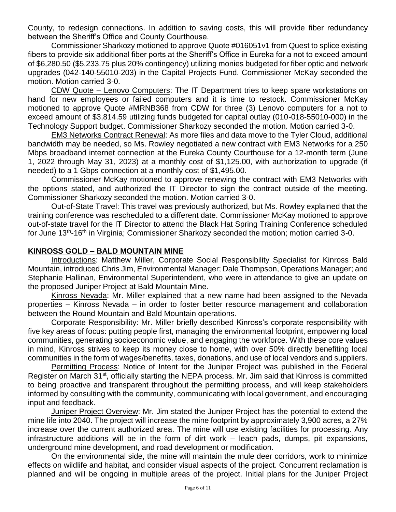County, to redesign connections. In addition to saving costs, this will provide fiber redundancy between the Sheriff's Office and County Courthouse.

Commissioner Sharkozy motioned to approve Quote #016051v1 from Quest to splice existing fibers to provide six additional fiber ports at the Sheriff's Office in Eureka for a not to exceed amount of \$6,280.50 (\$5,233.75 plus 20% contingency) utilizing monies budgeted for fiber optic and network upgrades (042-140-55010-203) in the Capital Projects Fund. Commissioner McKay seconded the motion. Motion carried 3-0.

CDW Quote – Lenovo Computers: The IT Department tries to keep spare workstations on hand for new employees or failed computers and it is time to restock. Commissioner McKay motioned to approve Quote #MRNB368 from CDW for three (3) Lenovo computers for a not to exceed amount of \$3,814.59 utilizing funds budgeted for capital outlay (010-018-55010-000) in the Technology Support budget. Commissioner Sharkozy seconded the motion. Motion carried 3-0.

EM3 Networks Contract Renewal: As more files and data move to the Tyler Cloud, additional bandwidth may be needed, so Ms. Rowley negotiated a new contract with EM3 Networks for a 250 Mbps broadband internet connection at the Eureka County Courthouse for a 12-month term (June 1, 2022 through May 31, 2023) at a monthly cost of \$1,125.00, with authorization to upgrade (if needed) to a 1 Gbps connection at a monthly cost of \$1,495.00.

Commissioner McKay motioned to approve renewing the contract with EM3 Networks with the options stated, and authorized the IT Director to sign the contract outside of the meeting. Commissioner Sharkozy seconded the motion. Motion carried 3-0.

Out-of-State Travel: This travel was previously authorized, but Ms. Rowley explained that the training conference was rescheduled to a different date. Commissioner McKay motioned to approve out-of-state travel for the IT Director to attend the Black Hat Spring Training Conference scheduled for June 13<sup>th</sup>-16<sup>th</sup> in Virginia; Commissioner Sharkozy seconded the motion; motion carried 3-0.

#### **KINROSS GOLD – BALD MOUNTAIN MINE**

Introductions: Matthew Miller, Corporate Social Responsibility Specialist for Kinross Bald Mountain, introduced Chris Jim, Environmental Manager; Dale Thompson, Operations Manager; and Stephanie Hallinan, Environmental Superintendent, who were in attendance to give an update on the proposed Juniper Project at Bald Mountain Mine.

Kinross Nevada: Mr. Miller explained that a new name had been assigned to the Nevada properties – Kinross Nevada – in order to foster better resource management and collaboration between the Round Mountain and Bald Mountain operations.

Corporate Responsibility: Mr. Miller briefly described Kinross's corporate responsibility with five key areas of focus: putting people first, managing the environmental footprint, empowering local communities, generating socioeconomic value, and engaging the workforce. With these core values in mind, Kinross strives to keep its money close to home, with over 50% directly benefiting local communities in the form of wages/benefits, taxes, donations, and use of local vendors and suppliers.

Permitting Process: Notice of Intent for the Juniper Project was published in the Federal Register on March 31<sup>st</sup>, officially starting the NEPA process. Mr. Jim said that Kinross is committed to being proactive and transparent throughout the permitting process, and will keep stakeholders informed by consulting with the community, communicating with local government, and encouraging input and feedback.

Juniper Project Overview: Mr. Jim stated the Juniper Project has the potential to extend the mine life into 2040. The project will increase the mine footprint by approximately 3,900 acres, a 27% increase over the current authorized area. The mine will use existing facilities for processing. Any infrastructure additions will be in the form of dirt work – leach pads, dumps, pit expansions, underground mine development, and road development or modification.

On the environmental side, the mine will maintain the mule deer corridors, work to minimize effects on wildlife and habitat, and consider visual aspects of the project. Concurrent reclamation is planned and will be ongoing in multiple areas of the project. Initial plans for the Juniper Project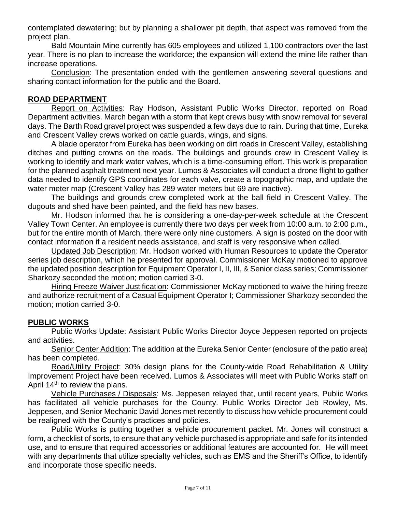contemplated dewatering; but by planning a shallower pit depth, that aspect was removed from the project plan.

Bald Mountain Mine currently has 605 employees and utilized 1,100 contractors over the last year. There is no plan to increase the workforce; the expansion will extend the mine life rather than increase operations.

Conclusion: The presentation ended with the gentlemen answering several questions and sharing contact information for the public and the Board.

### **ROAD DEPARTMENT**

Report on Activities: Ray Hodson, Assistant Public Works Director, reported on Road Department activities. March began with a storm that kept crews busy with snow removal for several days. The Barth Road gravel project was suspended a few days due to rain. During that time, Eureka and Crescent Valley crews worked on cattle guards, wings, and signs.

A blade operator from Eureka has been working on dirt roads in Crescent Valley, establishing ditches and putting crowns on the roads. The buildings and grounds crew in Crescent Valley is working to identify and mark water valves, which is a time-consuming effort. This work is preparation for the planned asphalt treatment next year. Lumos & Associates will conduct a drone flight to gather data needed to identify GPS coordinates for each valve, create a topographic map, and update the water meter map (Crescent Valley has 289 water meters but 69 are inactive).

The buildings and grounds crew completed work at the ball field in Crescent Valley. The dugouts and shed have been painted, and the field has new bases.

Mr. Hodson informed that he is considering a one-day-per-week schedule at the Crescent Valley Town Center. An employee is currently there two days per week from 10:00 a.m. to 2:00 p.m., but for the entire month of March, there were only nine customers. A sign is posted on the door with contact information if a resident needs assistance, and staff is very responsive when called.

Updated Job Description: Mr. Hodson worked with Human Resources to update the Operator series job description, which he presented for approval. Commissioner McKay motioned to approve the updated position description for Equipment Operator I, II, III, & Senior class series; Commissioner Sharkozy seconded the motion; motion carried 3-0.

Hiring Freeze Waiver Justification: Commissioner McKay motioned to waive the hiring freeze and authorize recruitment of a Casual Equipment Operator I; Commissioner Sharkozy seconded the motion; motion carried 3-0.

### **PUBLIC WORKS**

Public Works Update: Assistant Public Works Director Joyce Jeppesen reported on projects and activities.

Senior Center Addition: The addition at the Eureka Senior Center (enclosure of the patio area) has been completed.

Road/Utility Project: 30% design plans for the County-wide Road Rehabilitation & Utility Improvement Project have been received. Lumos & Associates will meet with Public Works staff on April 14<sup>th</sup> to review the plans.

Vehicle Purchases / Disposals: Ms. Jeppesen relayed that, until recent years, Public Works has facilitated all vehicle purchases for the County. Public Works Director Jeb Rowley, Ms. Jeppesen, and Senior Mechanic David Jones met recently to discuss how vehicle procurement could be realigned with the County's practices and policies.

Public Works is putting together a vehicle procurement packet. Mr. Jones will construct a form, a checklist of sorts, to ensure that any vehicle purchased is appropriate and safe for its intended use, and to ensure that required accessories or additional features are accounted for. He will meet with any departments that utilize specialty vehicles, such as EMS and the Sheriff's Office, to identify and incorporate those specific needs.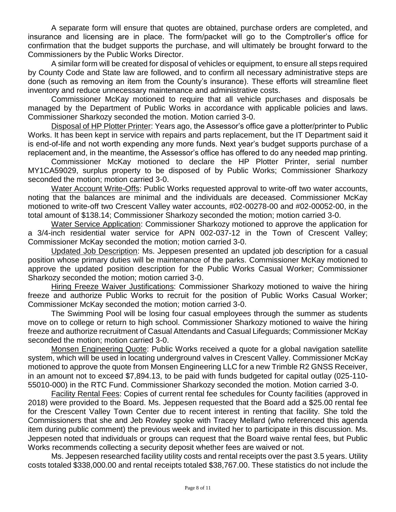A separate form will ensure that quotes are obtained, purchase orders are completed, and insurance and licensing are in place. The form/packet will go to the Comptroller's office for confirmation that the budget supports the purchase, and will ultimately be brought forward to the Commissioners by the Public Works Director.

A similar form will be created for disposal of vehicles or equipment, to ensure all steps required by County Code and State law are followed, and to confirm all necessary administrative steps are done (such as removing an item from the County's insurance). These efforts will streamline fleet inventory and reduce unnecessary maintenance and administrative costs.

Commissioner McKay motioned to require that all vehicle purchases and disposals be managed by the Department of Public Works in accordance with applicable policies and laws. Commissioner Sharkozy seconded the motion. Motion carried 3-0.

Disposal of HP Plotter Printer: Years ago, the Assessor's office gave a plotter/printer to Public Works. It has been kept in service with repairs and parts replacement, but the IT Department said it is end-of-life and not worth expending any more funds. Next year's budget supports purchase of a replacement and, in the meantime, the Assessor's office has offered to do any needed map printing.

Commissioner McKay motioned to declare the HP Plotter Printer, serial number MY1CA59029, surplus property to be disposed of by Public Works; Commissioner Sharkozy seconded the motion; motion carried 3-0.

Water Account Write-Offs: Public Works requested approval to write-off two water accounts, noting that the balances are minimal and the individuals are deceased. Commissioner McKay motioned to write-off two Crescent Valley water accounts, #02-00278-00 and #02-00052-00, in the total amount of \$138.14; Commissioner Sharkozy seconded the motion; motion carried 3-0.

Water Service Application: Commissioner Sharkozy motioned to approve the application for a 3/4-inch residential water service for APN 002-037-12 in the Town of Crescent Valley; Commissioner McKay seconded the motion; motion carried 3-0.

Updated Job Description: Ms. Jeppesen presented an updated job description for a casual position whose primary duties will be maintenance of the parks. Commissioner McKay motioned to approve the updated position description for the Public Works Casual Worker; Commissioner Sharkozy seconded the motion; motion carried 3-0.

Hiring Freeze Waiver Justifications: Commissioner Sharkozy motioned to waive the hiring freeze and authorize Public Works to recruit for the position of Public Works Casual Worker; Commissioner McKay seconded the motion; motion carried 3-0.

The Swimming Pool will be losing four casual employees through the summer as students move on to college or return to high school. Commissioner Sharkozy motioned to waive the hiring freeze and authorize recruitment of Casual Attendants and Casual Lifeguards; Commissioner McKay seconded the motion; motion carried 3-0.

Monsen Engineering Quote: Public Works received a quote for a global navigation satellite system, which will be used in locating underground valves in Crescent Valley. Commissioner McKay motioned to approve the quote from Monsen Engineering LLC for a new Trimble R2 GNSS Receiver, in an amount not to exceed \$7,894.13, to be paid with funds budgeted for capital outlay (025-110- 55010-000) in the RTC Fund. Commissioner Sharkozy seconded the motion. Motion carried 3-0.

Facility Rental Fees: Copies of current rental fee schedules for County facilities (approved in 2018) were provided to the Board. Ms. Jeppesen requested that the Board add a \$25.00 rental fee for the Crescent Valley Town Center due to recent interest in renting that facility. She told the Commissioners that she and Jeb Rowley spoke with Tracey Mellard (who referenced this agenda item during public comment) the previous week and invited her to participate in this discussion. Ms. Jeppesen noted that individuals or groups can request that the Board waive rental fees, but Public Works recommends collecting a security deposit whether fees are waived or not.

Ms. Jeppesen researched facility utility costs and rental receipts over the past 3.5 years. Utility costs totaled \$338,000.00 and rental receipts totaled \$38,767.00. These statistics do not include the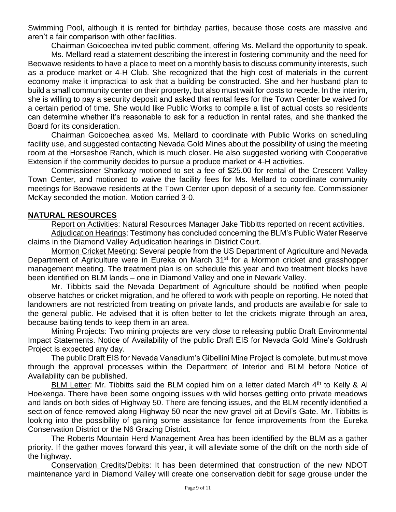Swimming Pool, although it is rented for birthday parties, because those costs are massive and aren't a fair comparison with other facilities.

Chairman Goicoechea invited public comment, offering Ms. Mellard the opportunity to speak.

Ms. Mellard read a statement describing the interest in fostering community and the need for Beowawe residents to have a place to meet on a monthly basis to discuss community interests, such as a produce market or 4-H Club. She recognized that the high cost of materials in the current economy make it impractical to ask that a building be constructed. She and her husband plan to build a small community center on their property, but also must wait for costs to recede. In the interim, she is willing to pay a security deposit and asked that rental fees for the Town Center be waived for a certain period of time. She would like Public Works to compile a list of actual costs so residents can determine whether it's reasonable to ask for a reduction in rental rates, and she thanked the Board for its consideration.

Chairman Goicoechea asked Ms. Mellard to coordinate with Public Works on scheduling facility use, and suggested contacting Nevada Gold Mines about the possibility of using the meeting room at the Horseshoe Ranch, which is much closer. He also suggested working with Cooperative Extension if the community decides to pursue a produce market or 4-H activities.

Commissioner Sharkozy motioned to set a fee of \$25.00 for rental of the Crescent Valley Town Center, and motioned to waive the facility fees for Ms. Mellard to coordinate community meetings for Beowawe residents at the Town Center upon deposit of a security fee. Commissioner McKay seconded the motion. Motion carried 3-0.

### **NATURAL RESOURCES**

Report on Activities: Natural Resources Manager Jake Tibbitts reported on recent activities. Adjudication Hearings: Testimony has concluded concerning the BLM's Public Water Reserve

claims in the Diamond Valley Adjudication hearings in District Court.

Mormon Cricket Meeting: Several people from the US Department of Agriculture and Nevada Department of Agriculture were in Eureka on March 31<sup>st</sup> for a Mormon cricket and grasshopper management meeting. The treatment plan is on schedule this year and two treatment blocks have been identified on BLM lands – one in Diamond Valley and one in Newark Valley.

Mr. Tibbitts said the Nevada Department of Agriculture should be notified when people observe hatches or cricket migration, and he offered to work with people on reporting. He noted that landowners are not restricted from treating on private lands, and products are available for sale to the general public. He advised that it is often better to let the crickets migrate through an area, because baiting tends to keep them in an area.

Mining Projects: Two mining projects are very close to releasing public Draft Environmental Impact Statements. Notice of Availability of the public Draft EIS for Nevada Gold Mine's Goldrush Project is expected any day.

The public Draft EIS for Nevada Vanadium's Gibellini Mine Project is complete, but must move through the approval processes within the Department of Interior and BLM before Notice of Availability can be published.

BLM Letter: Mr. Tibbitts said the BLM copied him on a letter dated March  $4<sup>th</sup>$  to Kelly & Al Hoekenga. There have been some ongoing issues with wild horses getting onto private meadows and lands on both sides of Highway 50. There are fencing issues, and the BLM recently identified a section of fence removed along Highway 50 near the new gravel pit at Devil's Gate. Mr. Tibbitts is looking into the possibility of gaining some assistance for fence improvements from the Eureka Conservation District or the N6 Grazing District.

The Roberts Mountain Herd Management Area has been identified by the BLM as a gather priority. If the gather moves forward this year, it will alleviate some of the drift on the north side of the highway.

Conservation Credits/Debits: It has been determined that construction of the new NDOT maintenance yard in Diamond Valley will create one conservation debit for sage grouse under the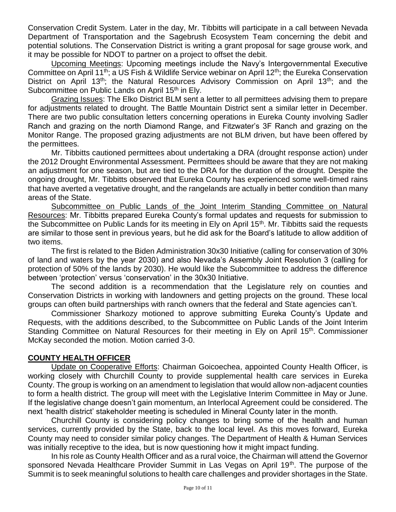Conservation Credit System. Later in the day, Mr. Tibbitts will participate in a call between Nevada Department of Transportation and the Sagebrush Ecosystem Team concerning the debit and potential solutions. The Conservation District is writing a grant proposal for sage grouse work, and it may be possible for NDOT to partner on a project to offset the debit.

Upcoming Meetings: Upcoming meetings include the Navy's Intergovernmental Executive Committee on April 11<sup>th</sup>; a US Fish & Wildlife Service webinar on April 12<sup>th</sup>; the Eureka Conservation District on April 13<sup>th</sup>; the Natural Resources Advisory Commission on April 13<sup>th</sup>; and the Subcommittee on Public Lands on April 15<sup>th</sup> in Ely.

Grazing Issues: The Elko District BLM sent a letter to all permittees advising them to prepare for adjustments related to drought. The Battle Mountain District sent a similar letter in December. There are two public consultation letters concerning operations in Eureka County involving Sadler Ranch and grazing on the north Diamond Range, and Fitzwater's 3F Ranch and grazing on the Monitor Range. The proposed grazing adjustments are not BLM driven, but have been offered by the permittees.

Mr. Tibbitts cautioned permittees about undertaking a DRA (drought response action) under the 2012 Drought Environmental Assessment. Permittees should be aware that they are not making an adjustment for one season, but are tied to the DRA for the duration of the drought. Despite the ongoing drought, Mr. Tibbitts observed that Eureka County has experienced some well-timed rains that have averted a vegetative drought, and the rangelands are actually in better condition than many areas of the State.

Subcommittee on Public Lands of the Joint Interim Standing Committee on Natural Resources: Mr. Tibbitts prepared Eureka County's formal updates and requests for submission to the Subcommittee on Public Lands for its meeting in Ely on April 15<sup>th</sup>. Mr. Tibbitts said the requests are similar to those sent in previous years, but he did ask for the Board's latitude to allow addition of two items.

The first is related to the Biden Administration 30x30 Initiative (calling for conservation of 30% of land and waters by the year 2030) and also Nevada's Assembly Joint Resolution 3 (calling for protection of 50% of the lands by 2030). He would like the Subcommittee to address the difference between 'protection' versus 'conservation' in the 30x30 Initiative.

The second addition is a recommendation that the Legislature rely on counties and Conservation Districts in working with landowners and getting projects on the ground. These local groups can often build partnerships with ranch owners that the federal and State agencies can't.

Commissioner Sharkozy motioned to approve submitting Eureka County's Update and Requests, with the additions described, to the Subcommittee on Public Lands of the Joint Interim Standing Committee on Natural Resources for their meeting in Ely on April 15<sup>th</sup>. Commissioner McKay seconded the motion. Motion carried 3-0.

### **COUNTY HEALTH OFFICER**

Update on Cooperative Efforts: Chairman Goicoechea, appointed County Health Officer, is working closely with Churchill County to provide supplemental health care services in Eureka County. The group is working on an amendment to legislation that would allow non-adjacent counties to form a health district. The group will meet with the Legislative Interim Committee in May or June. If the legislative change doesn't gain momentum, an Interlocal Agreement could be considered. The next 'health district' stakeholder meeting is scheduled in Mineral County later in the month.

Churchill County is considering policy changes to bring some of the health and human services, currently provided by the State, back to the local level. As this moves forward, Eureka County may need to consider similar policy changes. The Department of Health & Human Services was initially receptive to the idea, but is now questioning how it might impact funding.

In his role as County Health Officer and as a rural voice, the Chairman will attend the Governor sponsored Nevada Healthcare Provider Summit in Las Vegas on April 19<sup>th</sup>. The purpose of the Summit is to seek meaningful solutions to health care challenges and provider shortages in the State.